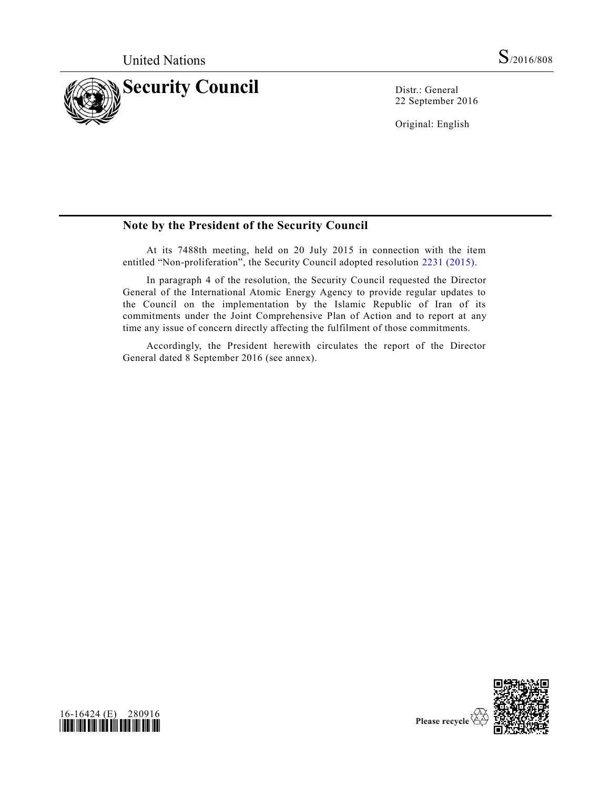

22 September 2016

Original: English

## **Note by the President of the Security Council**

At its 7488th meeting, held on 20 July 2015 in connection with the item entitled "Non-proliferation", the Security Council adopted resolution [2231 \(2015\).](http://undocs.org/S/RES/2231(2015))

In paragraph 4 of the resolution, the Security Council requested the Director General of the International Atomic Energy Agency to provide regular updates to the Council on the implementation by the Islamic Republic of Iran of its commitments under the Joint Comprehensive Plan of Action and to report at any time any issue of concern directly affecting the fulfilment of those commitments.

Accordingly, the President herewith circulates the report of the Director General dated 8 September 2016 (see annex).



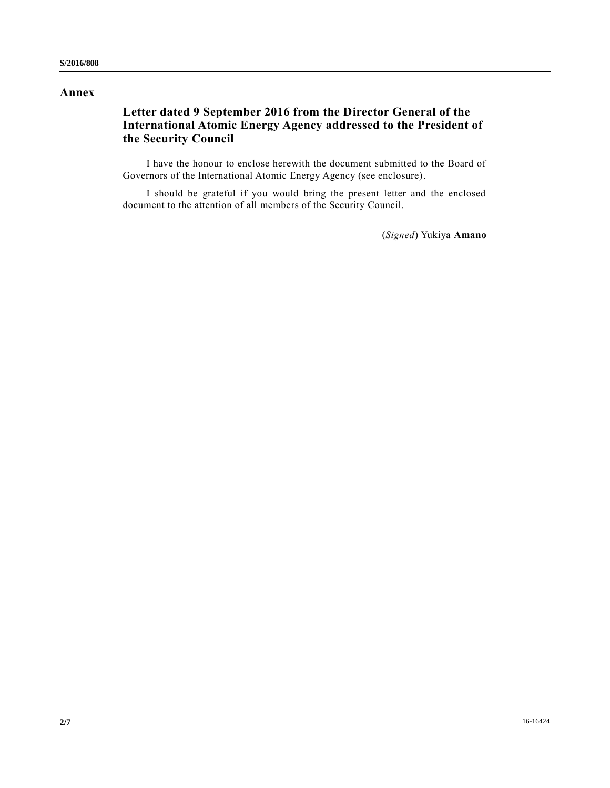#### **Annex**

# **Letter dated 9 September 2016 from the Director General of the International Atomic Energy Agency addressed to the President of the Security Council**

I have the honour to enclose herewith the document submitted to the Board of Governors of the International Atomic Energy Agency (see enclosure).

I should be grateful if you would bring the present letter and the enclosed document to the attention of all members of the Security Council.

(*Signed*) Yukiya **Amano**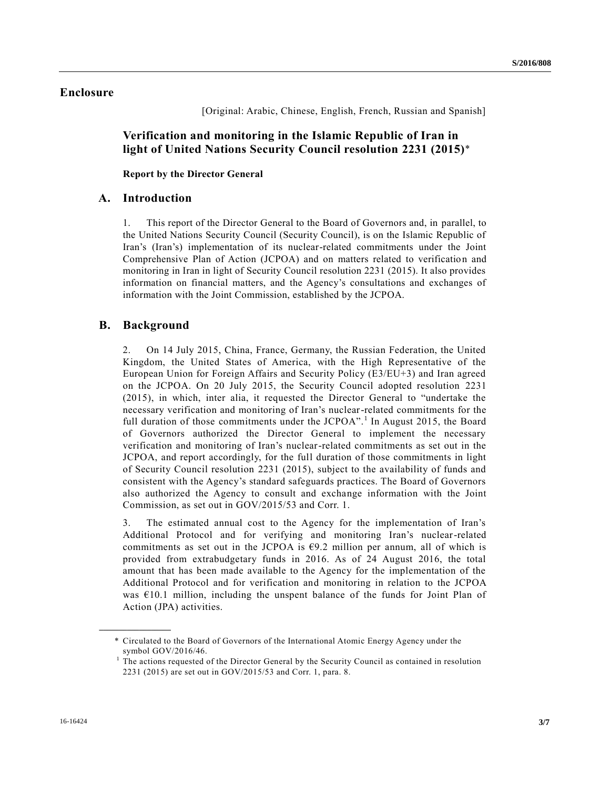## **Enclosure**

[Original: Arabic, Chinese, English, French, Russian and Spanish]

**Verification and monitoring in the Islamic Republic of Iran in light of United Nations Security Council resolution 2231 (2015)**\*

**Report by the Director General**

#### **A. Introduction**

1. This report of the Director General to the Board of Governors and, in parallel, to the United Nations Security Council (Security Council), is on the Islamic Republic of Iran's (Iran's) implementation of its nuclear-related commitments under the Joint Comprehensive Plan of Action (JCPOA) and on matters related to verification and monitoring in Iran in light of Security Council resolution 2231 (2015). It also provides information on financial matters, and the Agency's consultations and exchanges of information with the Joint Commission, established by the JCPOA.

#### **B. Background**

**\_\_\_\_\_\_\_\_\_\_\_\_\_\_\_\_\_\_**

2. On 14 July 2015, China, France, Germany, the Russian Federation, the United Kingdom, the United States of America, with the High Representative of the European Union for Foreign Affairs and Security Policy (E3/EU+3) and Iran agreed on the JCPOA. On 20 July 2015, the Security Council adopted resolution 2231 (2015), in which, inter alia, it requested the Director General to "undertake the necessary verification and monitoring of Iran's nuclear-related commitments for the full duration of those commitments under the  $JCPOA$ <sup>".</sup> In August 2015, the Board of Governors authorized the Director General to implement the necessary verification and monitoring of Iran's nuclear-related commitments as set out in the JCPOA, and report accordingly, for the full duration of those commitments in light of Security Council resolution 2231 (2015), subject to the availability of funds and consistent with the Agency's standard safeguards practices. The Board of Governors also authorized the Agency to consult and exchange information with the Joint Commission, as set out in GOV/2015/53 and Corr. 1.

3. The estimated annual cost to the Agency for the implementation of Iran's Additional Protocol and for verifying and monitoring Iran's nuclear-related commitments as set out in the JCPOA is  $\epsilon$ 9.2 million per annum, all of which is provided from extrabudgetary funds in 2016. As of 24 August 2016, the total amount that has been made available to the Agency for the implementation of the Additional Protocol and for verification and monitoring in relation to the JCPOA was  $\epsilon$ 10.1 million, including the unspent balance of the funds for Joint Plan of Action (JPA) activities.

<sup>\*</sup> Circulated to the Board of Governors of the International Atomic Energy Agency under the symbol GOV/2016/46.

<sup>1</sup> The actions requested of the Director General by the Security Council as contained in resolution 2231 (2015) are set out in GOV/2015/53 and Corr. 1, para. 8.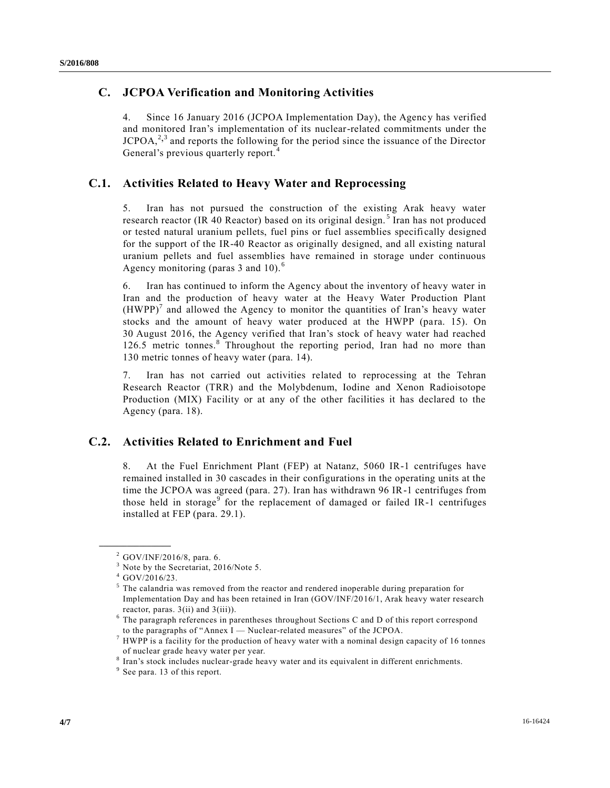## **C. JCPOA Verification and Monitoring Activities**

4. Since 16 January 2016 (JCPOA Implementation Day), the Agency has verified and monitored Iran's implementation of its nuclear-related commitments under the  $JCPOA<sub>1</sub><sup>2,3</sup>$  and reports the following for the period since the issuance of the Director General's previous quarterly report.<sup>4</sup>

## **C.1. Activities Related to Heavy Water and Reprocessing**

5. Iran has not pursued the construction of the existing Arak heavy water research reactor (IR 40 Reactor) based on its original design.<sup>5</sup> Iran has not produced or tested natural uranium pellets, fuel pins or fuel assemblies specifi cally designed for the support of the IR-40 Reactor as originally designed, and all existing natural uranium pellets and fuel assemblies have remained in storage under continuous Agency monitoring (paras 3 and 10).<sup>6</sup>

6. Iran has continued to inform the Agency about the inventory of heavy water in Iran and the production of heavy water at the Heavy Water Production Plant  $(HWPP)^7$  and allowed the Agency to monitor the quantities of Iran's heavy water stocks and the amount of heavy water produced at the HWPP (para. 15). On 30 August 2016, the Agency verified that Iran's stock of heavy water had reached 126.5 metric tonnes.<sup>8</sup> Throughout the reporting period, Iran had no more than 130 metric tonnes of heavy water (para. 14).

7. Iran has not carried out activities related to reprocessing at the Tehran Research Reactor (TRR) and the Molybdenum, Iodine and Xenon Radioisotope Production (MIX) Facility or at any of the other facilities it has declared to the Agency (para. 18).

#### **C.2. Activities Related to Enrichment and Fuel**

8. At the Fuel Enrichment Plant (FEP) at Natanz, 5060 IR-1 centrifuges have remained installed in 30 cascades in their configurations in the operating units at the time the JCPOA was agreed (para. 27). Iran has withdrawn 96 IR-1 centrifuges from those held in storage<sup>9</sup> for the replacement of damaged or failed IR-1 centrifuges installed at FEP (para. 29.1).

**\_\_\_\_\_\_\_\_\_\_\_\_\_\_\_\_\_\_**

 $^{2}$  GOV/INF/2016/8, para. 6.

<sup>&</sup>lt;sup>3</sup> Note by the Secretariat, 2016/Note 5.

<sup>4</sup> GOV/2016/23.

<sup>&</sup>lt;sup>5</sup> The calandria was removed from the reactor and rendered inoperable during preparation for Implementation Day and has been retained in Iran (GOV/INF/2016/1, Arak heavy water research reactor, paras.  $3(i)$  and  $3(iii)$ .

<sup>&</sup>lt;sup>6</sup> The paragraph references in parentheses throughout Sections C and D of this report correspond to the paragraphs of "Annex I — Nuclear-related measures" of the JCPOA.

<sup>&</sup>lt;sup>7</sup> HWPP is a facility for the production of heavy water with a nominal design capacity of 16 tonnes of nuclear grade heavy water per year.

<sup>&</sup>lt;sup>8</sup> Iran's stock includes nuclear-grade heavy water and its equivalent in different enrichments.

<sup>&</sup>lt;sup>9</sup> See para. 13 of this report.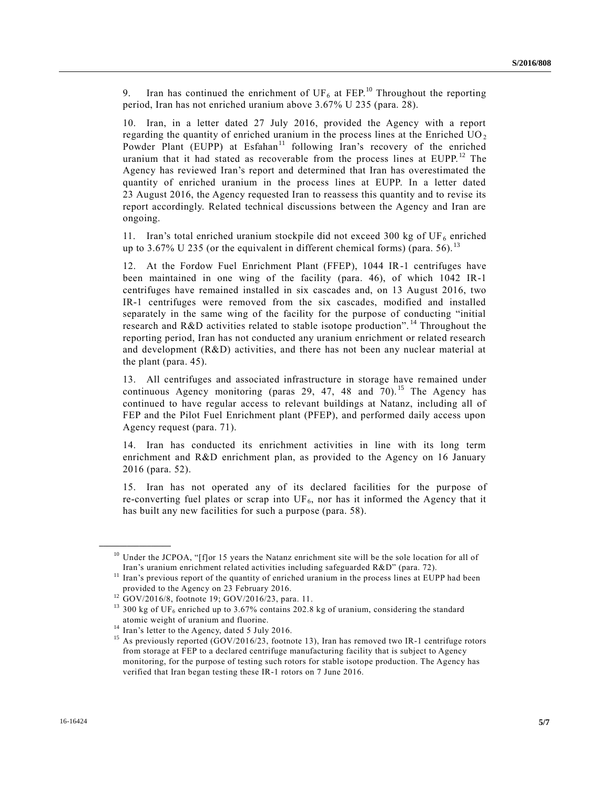9. Iran has continued the enrichment of UF<sub>6</sub> at FEP.<sup>10</sup> Throughout the reporting period, Iran has not enriched uranium above 3.67% U 235 (para. 28).

10. Iran, in a letter dated 27 July 2016, provided the Agency with a report regarding the quantity of enriched uranium in the process lines at the Enriched UO <sup>2</sup> Powder Plant (EUPP) at Esfahan<sup>11</sup> following Iran's recovery of the enriched uranium that it had stated as recoverable from the process lines at EUPP.<sup>12</sup> The Agency has reviewed Iran's report and determined that Iran has overestimated the quantity of enriched uranium in the process lines at EUPP. In a letter dated 23 August 2016, the Agency requested Iran to reassess this quantity and to revise its report accordingly. Related technical discussions between the Agency and Iran are ongoing.

11. Iran's total enriched uranium stockpile did not exceed 300 kg of UF<sub>6</sub> enriched up to 3.67% U 235 (or the equivalent in different chemical forms) (para. 56).<sup>13</sup>

12. At the Fordow Fuel Enrichment Plant (FFEP), 1044 IR-1 centrifuges have been maintained in one wing of the facility (para. 46), of which 1042 IR-1 centrifuges have remained installed in six cascades and, on 13 August 2016, two IR-1 centrifuges were removed from the six cascades, modified and installed separately in the same wing of the facility for the purpose of conducting "initial research and R&D activities related to stable isotope production". <sup>14</sup> Throughout the reporting period, Iran has not conducted any uranium enrichment or related research and development (R&D) activities, and there has not been any nuclear material at the plant (para. 45).

13. All centrifuges and associated infrastructure in storage have remained under continuous Agency monitoring (paras 29, 47, 48 and  $70$ ).<sup>15</sup> The Agency has continued to have regular access to relevant buildings at Natanz, including all of FEP and the Pilot Fuel Enrichment plant (PFEP), and performed daily access upon Agency request (para. 71).

14. Iran has conducted its enrichment activities in line with its long term enrichment and R&D enrichment plan, as provided to the Agency on 16 January 2016 (para. 52).

15. Iran has not operated any of its declared facilities for the purpose of re-converting fuel plates or scrap into  $UF_6$ , nor has it informed the Agency that it has built any new facilities for such a purpose (para. 58).

**\_\_\_\_\_\_\_\_\_\_\_\_\_\_\_\_\_\_**

 $10$  Under the JCPOA, "[f]or 15 years the Natanz enrichment site will be the sole location for all of Iran's uranium enrichment related activities including safeguarded R&D" (para. 72).

 $11$  Iran's previous report of the quantity of enriched uranium in the process lines at EUPP had been provided to the Agency on 23 February 2016.

 $12$  GOV/2016/8, footnote 19; GOV/2016/23, para. 11.

<sup>&</sup>lt;sup>13</sup> 300 kg of UF<sub>6</sub> enriched up to 3.67% contains 202.8 kg of uranium, considering the standard atomic weight of uranium and fluorine.

 $14$  Iran's letter to the Agency, dated 5 July 2016.

<sup>&</sup>lt;sup>15</sup> As previously reported (GOV/2016/23, footnote 13), Iran has removed two IR-1 centrifuge rotors from storage at FEP to a declared centrifuge manufacturing facility that is subject to Agency monitoring, for the purpose of testing such rotors for stable isotope production. The Agency has verified that Iran began testing these IR-1 rotors on 7 June 2016.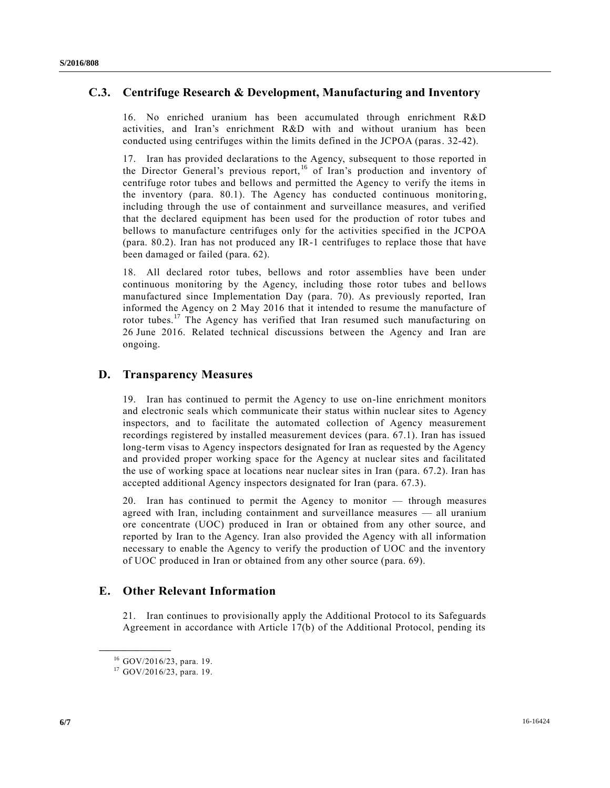## **C.3. Centrifuge Research & Development, Manufacturing and Inventory**

16. No enriched uranium has been accumulated through enrichment R&D activities, and Iran's enrichment R&D with and without uranium has been conducted using centrifuges within the limits defined in the JCPOA (paras. 32-42).

17. Iran has provided declarations to the Agency, subsequent to those reported in the Director General's previous report, <sup>16</sup> of Iran's production and inventory of centrifuge rotor tubes and bellows and permitted the Agency to verify the items in the inventory (para. 80.1). The Agency has conducted continuous monitoring, including through the use of containment and surveillance measures, and verified that the declared equipment has been used for the production of rotor tubes and bellows to manufacture centrifuges only for the activities specified in the JCPOA (para. 80.2). Iran has not produced any IR-1 centrifuges to replace those that have been damaged or failed (para. 62).

18. All declared rotor tubes, bellows and rotor assemblies have been under continuous monitoring by the Agency, including those rotor tubes and bellows manufactured since Implementation Day (para. 70). As previously reported, Iran informed the Agency on 2 May 2016 that it intended to resume the manufacture of rotor tubes.<sup>17</sup> The Agency has verified that Iran resumed such manufacturing on 26 June 2016. Related technical discussions between the Agency and Iran are ongoing.

## **D. Transparency Measures**

19. Iran has continued to permit the Agency to use on-line enrichment monitors and electronic seals which communicate their status within nuclear sites to Agency inspectors, and to facilitate the automated collection of Agency measurement recordings registered by installed measurement devices (para. 67.1). Iran has issued long-term visas to Agency inspectors designated for Iran as requested by the Agency and provided proper working space for the Agency at nuclear sites and facilitated the use of working space at locations near nuclear sites in Iran (para. 67.2). Iran has accepted additional Agency inspectors designated for Iran (para. 67.3).

20. Iran has continued to permit the Agency to monitor — through measures agreed with Iran, including containment and surveillance measures — all uranium ore concentrate (UOC) produced in Iran or obtained from any other source, and reported by Iran to the Agency. Iran also provided the Agency with all information necessary to enable the Agency to verify the production of UOC and the inventory of UOC produced in Iran or obtained from any other source (para. 69).

#### **E. Other Relevant Information**

21. Iran continues to provisionally apply the Additional Protocol to its Safeguards Agreement in accordance with Article 17(b) of the Additional Protocol, pending its

**\_\_\_\_\_\_\_\_\_\_\_\_\_\_\_\_\_\_**

<sup>16</sup> GOV/2016/23, para. 19.

<sup>17</sup> GOV/2016/23, para. 19.